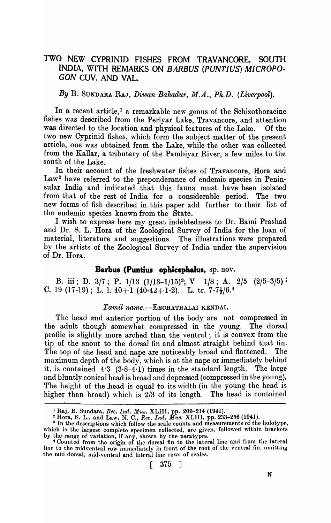# TWO NEW CYPRINID FISHES FROM TRAVANCORE, SOUTH INDIA. WITH REMARKS ON *BARBUS (PUNTIUS) MICROPO-GON* CUV. AND VAL.

## By B. SUNDARA RAJ, *Diwan Bahadur, M.A., Ph.D. (Liverpool)*.

In a recent article,<sup>1</sup> a remarkable new genus of the Schizothoracine fishes was described from the Periyar Lake, Travancore, and attention was directed to the location and physical features of the Lake. Of the two new Cyprinid fishes, which form the subject matter of the present article, one was obtained from the Lake, while the other was collected from the Kallar, a tributary of the Pambiyar River, a few miles to the south of the Lake.

In their account of the freshwater fishes of Travancore, Rora and Law<sup>2</sup> have referred to the preponderance of endemic species in Peninsular India and indicated that this fauna must have been isolated from that of the rest of India for a considerable period. The two new forms of fish described in, this paper add further to their list of the endemic species known from the State.

I wish to express here my great indebtedness to Dr. Baini Prashad and Dr. S. L. Hora of the Zoological Survey of India for the loan of material, literature and suggestions. The illustrations were prepared by the artists of the Zoological Survey of India under the supervision of Dr. Hora.

# **Barbus (Puntius ophicephalus,** sp. nov.

B. iii; D,  $3/7$ ; P.  $1/13$   $(1/13-1/15)^3$ ; V  $1/8$ ; A.  $2/5$   $(2/5-3/5)$ ; C. 19 (17-19); L. l.  $40+1$  ( $40-42+1-2$ ). L. tr.  $7-7\frac{1}{2}/6.4$ 

# Tamil name.-EECHATHALAI KENDAI.

The head and anterior portion of the body are not compressed in the adult though somewhat compressed in the young. The dorsal profile is slightly more arched than the ventral; it is convex from the tip of the snout to the dorsal fin and almost straight behind that fin. The top of the head and nape are noticeably broad and flattened. The maximum depth of the body, which is at the nape or immediately behind it, is contained  $4.3$   $(3.8-4.1)$  times in the standard length. The large and bluntly conical head is broad and depressed (compressed in the young). The height of the head is equal to its width (in the young the head- is higher than broad) which is 2/3 of its length. The head is contained

<sup>1</sup> Raj, B. Sundara, *Ree. Ind. MU8.* XLIII, pp. 209-214 (1941).

 $^2$  Hora, S. L., and Law, N. C., *Rec. Ind. Mus.* XLIII, pp. 233–256 (1941).<br><sup>3</sup> In the descriptions which follow the scale counts and measurements of the holotype, which is the largest complete specimen collected, are given, followed within brackets by the range of variation, if any, shown by the paratypes.

Counted from the origin of the dorsal fin to the lateral line and from the lateral line to the midventral row immediately in front of the root of the ventral fin, omitting the mid-dorsal, mid-ventral and lateral line rows of scales.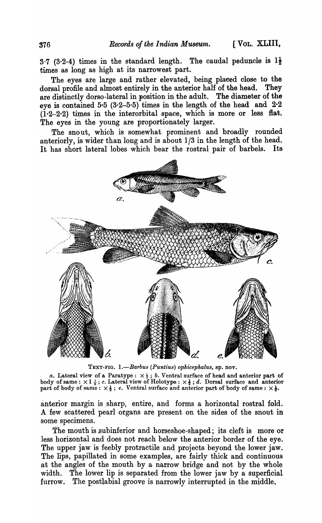3.7 (3.2-4) times in the standard length. The caudal peduncle is  $1\frac{1}{2}$ times as long as high at its narrowest part.

The eyes are large and rather elevated, being placed close to the dorsal profile and almost entirely in the anterior half of the head. They are distinctly dorso-Iateral in position in the adult. The diameter of the eye is contained 5.5  $(3.2-5.5)$  times in the length of the head and  $2.2$  $(1.2-2.2)$  times in the interorbital space, which is more or less flat. The eyes in the young are proportionately larger.

The snout, which is somewhat prominent and broadly rounded anteriorly, is wider than long and is about 1/3 in the length of the head. It has short lateral lobes which bear the rostral pair of barbels. Its



TEXT-FIG. *1.-Ba1'bus (Puntius) ophicephalus,* sp. nov.

*a*. Lateral view of a Paratype:  $\times \frac{1}{3}$ ; *b*. Ventral surface of head and anterior part of body of same:  $\times 1\frac{1}{5}$ ; *c*. Lateral view of Holotype:  $\times \frac{1}{2}$ ; *d*. Dorsal surface and anterior part of body of same:  $\times$  i.  $\frac{1}{5}$ , c. Lateral view of Holotype:  $\times$   $\frac{1}{2}$ , i. Dolsal surface and part of body of same:  $\times$   $\frac{1}{2}$ .

anterior margin is sharp, entire, and forms a horizontal rostral fold. A few scattered pearl organs are present on the sides of the snout in some specimens.

The mouth is subinferior and horseshoe-shaped; its cleft is more or less horizontal and does not reach below the anterior border of the eye. The upper jaw is feebly protractile and projects beyond the lower jaw. The lips, papillated in some examples, are fairly thick and continuous at the angles of the mouth by a narrow bridge and not by the whole width. The lower lip is separated from the lower jaw by a superficial furrow. The postlabial groove is narrowly interrupted in the middle,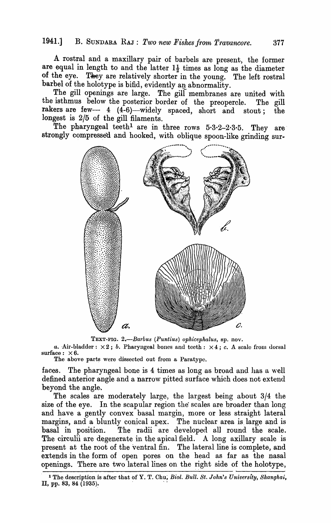### 1941.] B. SUNDARA RAJ: *Two new Fishes frorn Travancore.* 377

A rostral and a maxillary pair of barbels are present, the former are equal in length to and the latter  $1\frac{1}{2}$  times as long as the diameter of the eye. They are relatively shorter in the young. The left rostral barbel of the holotype is bifid, evidently an abnormality.

The gill openings are large. The gill membranes are united with the isthmus below the posterior border of the preopercle. The gill rakers are few- 4  $(4-6)$ -widely spaced, short and stout; the longest is  $2/5$  of the gill filaments.

The pharyngeal teeth<sup>1</sup> are in three rows  $5.3.2-2.3.5$ . They are strongly compressed and hooked, with oblique spoon-like grinding sur-



TEXT-FIG. 2.-Barbus (Puntius) ophicephalus, sp. nov.

*a.* Air-bladder:  $\times 2$ ; *b.* Pharyngeal bones and teeth:  $\times 4$ ; *c.* A scale from dorsal surface:  $\times 6$ .

The above parts were dissected out from a Paratypc.

faces. The pharyngeal bone is 4 times as long as broad and has a well defined anterior angle and a narrow pitted surface which does not extend beyond the angle.

The scales are moderately large, the largest being about 3/4 the size of the eye. In the scapular region the scales are broader than long and have a gently convex basal margin, more or less straight lateral margins, and a bluntly conical apex. The nuclear area is large and is basal in position. The radii are developed all round the scale. The circulii are degenerate in the apical field. A long axillary scale is present at the root of the ventral fin. The lateral line is complete, and extends in the form of open pores on the head as far as the nasal openings. There are two lateral lines on the right side of the holotype,

<sup>1</sup>The description is after that of Y. T. Chu; *Bioi. Bull. St. John'8 University, Sllangha·i,*  II, pp. 83, 84 (1935).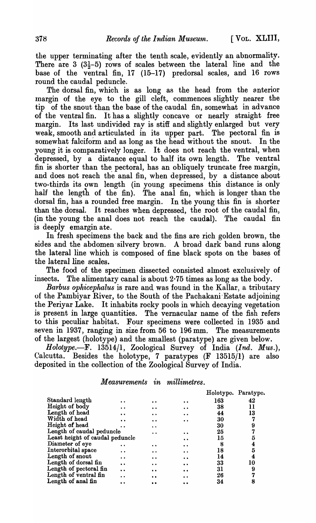the upper terminating after the tenth scale, evidently an abnormality. There are  $3(3\frac{1}{2}-5)$  rows of scales between the lateral line and the base of the ventral fin, 17 (15-17) predorsal scales, and 16 rows round the caudal peduncle.

The dorsal fin, which is as long as the head from the anterior margin of the eye to the gill cleft, commences slightly nearer the tip of the snout than the base of the caudal fin, somewhat in advance of the ventral fin. It has a slightly concave or nearly straight free margin. Its last undivided ray is stiff and slightly enlarged but very weak, smooth and articulated in its upper part. The pectoral fin is somewhat falciform and as long as the head without the snout. In the young it is comparatively longer. It does not reach the ventral, when depressed, by a distance equal to half its own length. The ventral fin is shorter than the pectoral, has an obliquely truncate free margin, and does not reach the anal fin, when depressed, by a distance about two-thirds its own length (in young specimens this distance is only half the length of the fin). The anal fin; which is longer than the dorsal fin, has a rounded free margin. In the young this fin is shorter than the dorsal. It reaches when depressed, the root of the caudal fin, (in the young the anal does not reach the caudal). The caudal fin is deeply emargin ate.

In fresh specimens the back and the fins are rich golden brown, the sides and the abdomen'silvery brown. A broad dark band runs along the lateral line which is composed of fine black spots on the bases of the lateral line scales.

The food of the specimen dissected consisted almost exclusively of insects. The alimentary canal is about 2·75 times as long as the body.

*Barbus ophicephalus* is rare and was found in the Kallar, a tributary of the Pambiyar River, to the South of the Pachakani'Estate adjoining the Periyar Lake. It inhabits rocky pools in which decaying vegetation is present in large quantities. The vernacular name of the fish refers to this peculiar habitat. Four specimens were collected in 1935 and seven in 1937, ranging in size from 56 to 196 mm. The measurements of the largest (holotype) and the smallest (para type) are given below.

*Holotype.-F.* 13514/1, Zoological Survey of India *(100. Mus.),*  Calcutta. Besides the holotype, 7 paratypes (F 13515/1) are also deposited in the collection of the Zoological Survey of India.

| <b>Measurements</b> | $\boldsymbol{\imath n}$ | <i>millimetres.</i> |
|---------------------|-------------------------|---------------------|
|                     |                         |                     |

|                                 |                      |                      |                      |     | Holotype. Paratype. |
|---------------------------------|----------------------|----------------------|----------------------|-----|---------------------|
| Standard length                 |                      |                      |                      | 163 | 42                  |
| Height of body                  |                      | $\bullet$            | $\bullet$            | 38  | 11                  |
| Length of head                  |                      | $\bullet$            | $\ddot{\bullet}$     | 44  | 13                  |
| Width of head                   |                      | $\ddot{\phantom{a}}$ | $\bullet\bullet$     | 30  | 7                   |
| Height of head                  |                      | $\ddot{\phantom{0}}$ |                      | 30  | 9                   |
| Length of caudal peduncle       |                      |                      |                      | 25  | 7                   |
| Least height of caudal peduncle |                      |                      |                      | 15  | 5                   |
| Diameter of eye                 | . .                  |                      | $\ddot{\bullet}$     | 8   | 4                   |
| Interorbital space              | $\ddot{\phantom{a}}$ | $\bullet\bullet$     | $\bullet\bullet$     | 18  | 5                   |
| Length of snout                 |                      | $\bullet$            | $\bullet$            | 14  | 4                   |
| Length of dorsal fin            | $\ddot{\phantom{a}}$ | . .                  | $\bullet$            | 33  | 10                  |
| Length of pectoral fin          | $\ddot{\bullet}$     | $^{\circ}$           | $\ddot{\phantom{a}}$ | 31  | 9                   |
| Length of ventral fin           |                      | $\bullet$            |                      | 26  | 7                   |
| Length of anal fin              |                      |                      |                      | 34  | 8                   |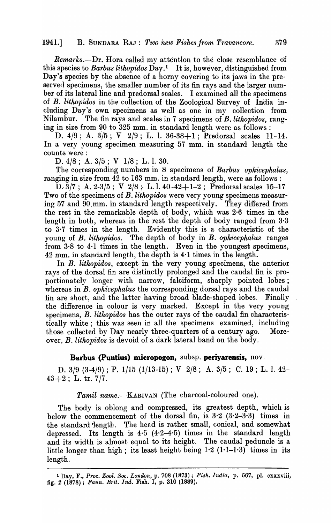### 1941.] B. SUNDARA RAJ: Two *new Fishes from Travancore.* 379

*Rernarks.-Dr.* Hora called my attention to the close resemblance df this species to *Barbus lithopidos* Day.<sup>1</sup> It is, however, distinguished from Day's species by the absence of a horny covering to its jaws in the preserved specimens, the smaller number of its fin rays and the larger number of its lateral line and predorsal scales. I examined all the specimens of *B. lithopidos* in the collection of the Zoological Survey of India including Day's own specimens as well as one in my collection from Nilambur. The fin rays and scales in 7 specimens of *B.lithopidos,* ranging in size from  $90$  to  $325$  mm. in standard length were as follows:

D.  $4/9$ ; A.  $3/5$ ; V  $2/9$ ; L. l. 36-38+1; Predorsal scales 11-14. In a very young specimen measuring 57 mm. in standard length the counts were :

D. 4/8; A. 3/5; V 1/8; L. 1. 30.

The corresponding numbers in 8 specimens of *Barbus ophicephalus,*  ranging in size from 42 to 163 mm. in standard length, were as follows:

D.  $3/7$ ; A.  $2-3/5$ ; V  $2/8$ ; L. l.  $40-42+1-2$ ; Predorsal scales 15-17 Two of the specimens of *B. lithopidos* were very young specimens measuring 57 and 90.mm. in standard length respectively. They differed from the rest in the remarkable depth of body, which was  $2·6$  times in the length in both, whereas in the rest the depth of body ranged from  $3.3$ to  $3.7$  times in the length. Evidently this is a characteristic of the young of *B. lithopidos.* The depth of body in *B. ophicephalus* ranges from 3·8 to 4·1 times in the length. Even in the youngest specimens, 42 mm. in standard length, the depth is 4·1 times in the length.

In B. *lithopidos,* except in the very young specimens, the anterior rays of the dorsal fin are distinctly prolonged and the caudal fin is proportionately longer with narrow, falciform, sharply pointed lobes; whereas in B. *ophicephalus* the corresponding dorsal rays and the caudal fin are short, and the latter having broad blade-shaped lobes. Finally the difference in colour is very marked. Except in the very young specimens, *B. lithopidos* has the outer rays of the caudal fin characteristically white; this was seen in all the specimens examined, including those collected by Day nearly three-quarters of a century ago. Moreover, B. *lithopidos* is devoid of a dark lateral band on the body.

#### Barbus (Puntius) micropogon, subsp. periyarensis, nov.

D. 3/9 (3-4/9) ; P. 1/15 (1/13-15) ; V 2/8; A. 3/5; C. 19 ; L. 1. 42-  $43+2$ ; L. tr. 7/7.

*Tamil name.*—KARIVAN (The charcoal-coloured one).

The body is oblong and compressed, its greatest depth, which is below the commencement of the dorsal fin, is  $3.2$  ( $3.2-3.3$ ) times in the standard length. The head is rather small, conical, and somewhat depressed. Its length is  $4.5$   $(4.2-4.5)$  times in the standard length and its width is almost equal to its height. The caudal peduncle is a little longer than high; its least height being  $1.2$  ( $1.1-1.3$ ) times in its length.

<sup>1</sup> Day, F., *Pl'oc. Zool. Soc. London,* p. 708 (1873); *F·i8lt. Indla,* p. 067, pl. cxxxviii, fig. 2 (1878); *Faun. Brit. Ind.* Fish. I, p. 310 (1889).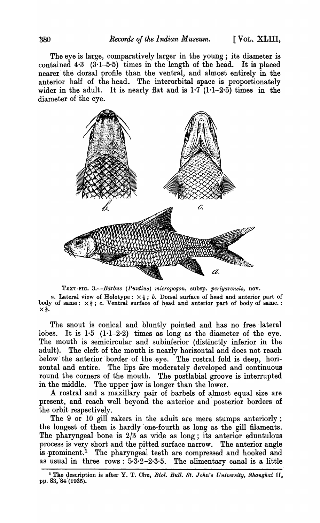The eye is large, comparatively larger in the young; its diameter is contained  $4.3$   $(3.1-5.5)$  times in the length of the head. It is placed nearer' the dorsal profile than the ventral, and almost entirely in the anterior haH of the head. The interorbital space is proportionately wider in the adult. It is nearly flat and is  $1.7$  ( $1.1-2.5$ ) times in the diameter of the eye.



TEXT-FIG. 3.-Barbus (Puntius) micropogon, subsp. periyarensis, nov.

*a.* Lateral view of Holotype:  $\times \frac{1}{3}$ ; *b.* Dorsal surface of head and anterior part of body of same:  $\times\frac{3}{4}$ ; c. Ventral surface of head and anterior part of body of same. :  $\times\frac{3}{4}$ .

The snout is conical and bluntly pointed and has no free lateral lobes. It is  $1.5$   $(1.1-2.2)$  times as long as the diameter of the eye. The mouth is semicircular and subinferior (distinctly inferior in the adult). The cleft of the mouth is nearly horizontal and does not reach below the anterior border of the eye. The rostral fold is deep, horizontal and entire. The lips are moderately developed and continuous round the corners of the mouth. The postlabial groove is interrupted in the middle. The upper jaw is longer than the lower.

A rostral and a maxillary pair of barbels of almost equal size are present, and reach well beyond the anterior and' posterior borders of the orbit respectively.

The 9 or 10 gill rakers in the adult are mere stumps anteriorly; the longest of them is hardly' one-fourth as long as the gill filaments. The pharyngeal bone is 2/3 as wide as long; its anterior eduntulous process is very short and the pitted surface narrow. The anterior angle is prominent.<sup>1</sup> The pharyngeal teeth are compressed and hooked and as usual in three rows:  $5.3.2-2.3.5$ . The alimentary canal is a little ر<br>—

<sup>&</sup>lt;sup>1</sup> The description is after Y. T. Chu, *Biol. Bull. St. John's University, Shanghai II*, pp. 83, 84 (1935).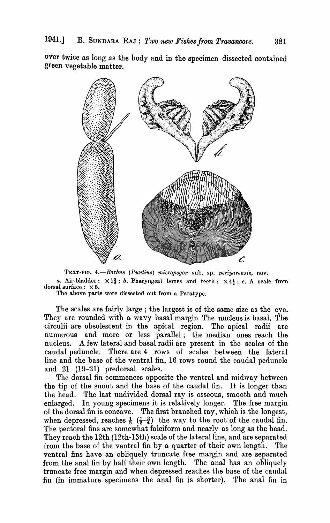over twice as long as the body and in the specimen dissected contained green vegetable matter.



TEXT-FIG. 4.-Barbus (Puntius) micropogon sub. sp. periyarensis, nov. *a.* Air-bladder:  $\times 1\frac{3}{4}$ ; *b.* Pharyngeal bones and teeth:  $\times 4\frac{1}{2}$ ; *c.* A scale from dorsal surface:  $\times 5$ .

The above parts were dissected out from a Paratype.

The scales are fairly large; the largest is of the same size as the eye. They are rounded with a wavy basal margin The nucleus is basal. The circulii are obsolescent in the apical region. The apical radii are numerous and more or less parallel; the median ones reach the nucleus. A few lateral and basal radii are present in the scales of the caudal peduncle. There are 4 rows of scales between the lateral line and the base of the ventral fin, 16 rows round the caudal peduncle and 21 (19-21) predorsal scales.

The dorsal fin commences opposite the ventral and midway between the tip of the snout and the base of the caudal fin. It is longer than the head. The last undivided dorsal ray is osseous, smooth and much enlarged. In young specimens it is relatively longer. The free margin of the dorsal fin is concave. The first branched ray, which is the longest, when depressed, reaches  $\frac{1}{2}$  ( $\frac{1-3}{2-4}$ ) the way to the root of the caudal fin. The pectoral fins are somewhat falciform and nearly as long as the head. They reach the 12th (12th-13th) scale of the lateral line, and are separated from the base of the ventral fin by a quarter of their own length. The ventral fins have an obliquely truncate free margin and are separated from the anal fin by half their own length. The anal has an obliquely truncate free margin and when depressed reaches the base of the caudal fin (in immature specirnens the anal fin is shorter). The anal fin in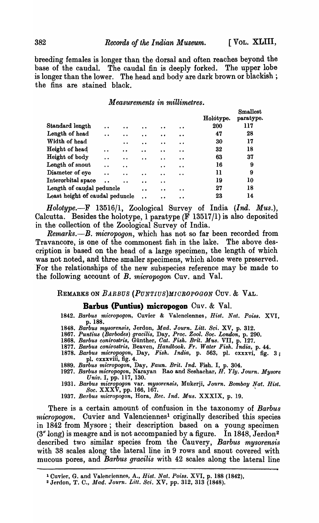breeding females is longer than the dorsal and often reaches beyond the base of the caudal. The caudal fin is deeply forked. The upper lobe is longer than the lower. The head and body are dark brown or blackish; the fins are stained black.

#### *Measurements in millimetres.*

|                                 |                      |                      |                      |                      |                      | Holotype. | <b>Smallest</b><br>paratype. |
|---------------------------------|----------------------|----------------------|----------------------|----------------------|----------------------|-----------|------------------------------|
| Standard length                 | $\ddot{\phantom{0}}$ | $\bullet$ $\bullet$  |                      | . .                  | $\cdot$ $\cdot$      | 200       | 117                          |
| Length of head                  | $\ddot{\phantom{0}}$ | $\cdot$ $\cdot$      |                      | $\bullet$            | $\bullet$            | 47        | 28                           |
| Width of head                   |                      | $\cdot$ $\cdot$      | $\bullet$            | $\cdot$              | $\bullet\bullet$     | 30        | 17                           |
| Height of head                  | $\ddot{\phantom{a}}$ | $\cdot$ $\cdot$      | $\ddot{\phantom{0}}$ | $\ddot{\phantom{a}}$ | $\bullet$            | 32        | 18                           |
| Height of body                  | $\ddot{\phantom{0}}$ | $\bullet$            | $\bullet$            | $\cdot$ $\cdot$      | $\ddot{\phantom{a}}$ | 63        | 37                           |
| Length of snout                 | $\ddot{\phantom{a}}$ | $\ddot{\phantom{0}}$ |                      | $\cdot$ $\cdot$      | $\bullet$            | 16        | 9                            |
| Diameter of eye                 | $\ddot{\phantom{a}}$ | $\ddot{\phantom{a}}$ |                      | $\ddot{\phantom{0}}$ | $\bullet$            | 11        | 9                            |
| Interorbital space              | $\ddot{\phantom{a}}$ | $\ddot{\phantom{a}}$ |                      | $\ddot{\phantom{a}}$ |                      | 19        | 10                           |
| Length of caudal peduncle       |                      |                      | $\bullet$            | . .                  | . .                  | 27        | 18                           |
| Least height of caudal peduncle |                      |                      |                      |                      |                      | 23        | 14                           |

*Holotype.-F* 13516/1, Zoological Survey of India *(Ind. Mus.),*  Calcutta. Besides the holotype, 1 paratype (F 13517/1) is also deposited in the- collection of the Zoological Survey of India.

*Remarks.-B. micropogon,* which has not so far been recorded from Travancore, is one of the commonest fish in the lake. The above description is based on the head of a large specimen, the length of which was not noted, and three smaller specimens, which alone were preserved. 'For the relationships of the new subspecies reference may be made to the following account of *B. micropogon* Cuv. and Val.

REMARKS ON *BARBUS (PUNTIUS)MIOROPOGON* Cuv. & VAL.

#### **Barbus (Puntius) micropogon** Cuv. & Val.

*1842. Barbus* micropogon~ Cuvier & Valenciennes, *Rist. Nat. Poiss.* XVI, p. 188.

- *1848. Barbus mysorensis,* Jerdon, *Mad. Journ. Litt. Sci.* XV, p. 312.
- *1867. Puntius (Barbodes) gracilis,* Day, *Proc. Zool. Soc. London,* p. 290.
- *1868. Barbus conirostris,* Giinther, *Oat. Fisk. Brit. Mus.* VII, p. 127. *1877. Barbus conirostris,* Beaven, *Handbook. Fr. Water Fisk. India,* p.44.
- *1878. Barbus micropogon,* Day, *Fisk. India,* p. 563, pI. cxxxvi, fig. 3; pl. cxxxviii, fig. 4.
- *1889. Barbus micropogon,* Day, *Faun. Brit. Ind.* Fish. I, p. 304.
- *1927. Barbus micropogon,* Narayan Rao and Seshachar, *H'. Yly. Journ. Mysore Univ.* I, pp. 117, 130.
- *1931. Barbus micropogon* var. *mysorensis,* Mukerji, *Journ. Bombay Nat. Hiat. Soc.*  $\bf XXX\tilde{V}$ , pp. 166, 167.
- *1937. Barbus micropogon,* Hora, *Bee. Ind. Mus.* XXXIX, p. 19.

There is a certain amount of confusion in the taxonomy of *Barbus micropogon.* Cuvier and Valenciennes<sup>1</sup> originally described this species in 1842 from Mysore; their description based on a young specimen  $(3'' \text{ long})$  is meagre and is not accompanied by a figure. In 1848, Jerdon<sup>2</sup> described two similar species from the Cauvery, *Barbus 'mysorensis*  with 38 scales along the lateral line in 9 rows and snout covered with mucous pores, and *Barbus gracilis* with 42 scales along the lateral line

<sup>1</sup> Cuvier, G. and Valenciennes, A., *Rist. Nat. Poiss.* XVI, p. 188 (1842),

<sup>&</sup>lt;sup>2</sup> Jerdon, T. C., *Mad. Journ. Litt. Sci.* XV, pp. 312, 313 (1848).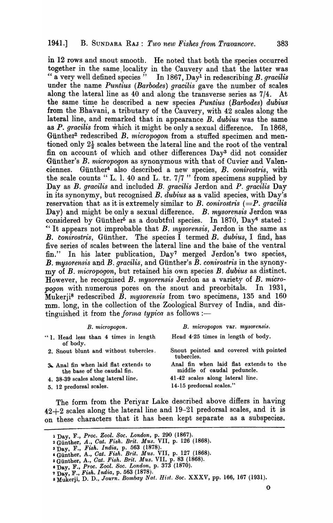in 12 rows and snout smooth. He noted that both the species occurred together in the same locality in the Cauvery and that the latter was " a very well defined species" In 1867, Day<sup>1</sup> in redescribing *B. gracilis* under the name *Puntius (Barbodes) gracilis* gave the number of scales along the lateral line as  $40$  and along the transverse series as  $7/4$ . the same time he described a new species *Puntius (Barbodes) dubius* from the Bhavani, a tributary of the Cauvery, with. 42 scales along the lateral line, and remarked that in appearance B. *dubius* was the same as *P. gracilis* from which it might be only a sexual difference. In 1868, Günther<sup>2</sup> redescribed B. *micropogon* from a stuffed specimen and mentioned only  $2\frac{1}{2}$  scales between the lateral line and the root of the ventral fin on account of which and other differences Day<sup>3</sup> did not consider Günther's *B. micropogon* as synonymous with that of Cuvier and Valen-~iennes. Giinther4 also described a new species, B. *conirostris,* with the scale counts "L. l. 40 and L. tr.  $7/7$ " from specimens supplied by Day as B. *gracilis* and included B. *gracilis* Jerdon and *P. gracilis* Day in its synonymy, but recognised B. *dubius* as a valid species, with Day's reservation that as it is extremely similar to  $B$ . *conirostris*  $(=P$ . *gracilis* Day) and might be only a sexual difference. *B. mysorensis* Jerdon was considered by Günther<sup>5</sup> as a doubtful species. In 1870, Day<sup>6</sup> stated: "It appears not improbable that *B. mysorensis*, Jerdon is the same as B. conirostris, Günther. The species I termed B. dubius, I find, has five series of scales between the lateral line and the base of the ventral fin." In his later publication, Day7 merged Jerdon's two species, B. *mysorensis* and B. *gracilis*, and Günther's B. *conirostris* in the synonymy of *B. micropogon,* but retained his own species *B. dubius* as distinct. However, he recognised *B. mysorensis* Jerdon as a variety of *B. micropogon* with numerous pores on the snout and preorbitals. In 1931,  $\mathbf{\hat{M}}$ ukerj<sup>8</sup> redescribed  $\mathbf{\hat{B}}$ . *mysorensis* from two specimens, 135 and 160 mm. long, in the collection of the Zoological Survey of India, and distinguished it from the *forma typica* as follows :-

| B. micropogon var. mysorensis.                                       |
|----------------------------------------------------------------------|
| Head 4.25 times in length of body.                                   |
| Snout pointed and covered with pointed<br>tubercles.                 |
| Anal fin when laid flat extends to the<br>middle of caudal peduncle. |
| 41-42 scales along lateral line.<br>14-15 predorsal scales."         |
|                                                                      |

The form from the Periyar Lake described above differs in having  $42+2$  scales along the lateral line and  $19-21$  predorsal scales, and it is on these characters that it has been kept separate as a subspecies.

<sup>1</sup> Day, F., *Proc. Zool. Soc. London*, p. 290 (1867).

<sup>2</sup> Günther, *A., Cat. Fish. Brit. Mus.* VII, p. 126 (1868).

<sup>3</sup> Day F., *Fish. India,* p. 563 (1878).

<sup>&#</sup>x27;Gunther, A., *Gat. Fish. Brit. Mus.* VII, p. 127 (1868).

o Gunther A., *Gat. Fish. Brit. Mus.* VII, p. 83 (1868).

S Day, F.: *Proc. Zool. Soc. London,* p. 373 (1870).

l' Da.y, F., *Fish. India,* p, 563 (1878). . , 8 Mukerji, D. D., *Journ. Bombay Nat. H1st. Soc.* XXXV, pp. 166, 167 (1931).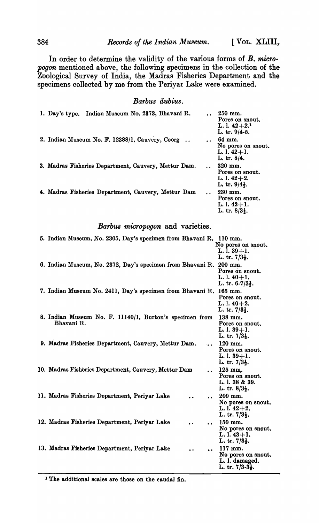In order to determine the validity of the various forms of B. micro*pogon* mentioned above, the following specimens in the collection of the-Zoological Survey of India, the Madras Fisheries Department and the specimens collected by me from the Periyar Lake were examined.

## *Barbus dubius.*

| Indian Museum No. 2373, Bhavani R.<br>1. Day's type. |                      | $250$ mm.<br>Pores on snout.<br>L. l. $42+2.1$<br>L. tr. 9/4-5.             |
|------------------------------------------------------|----------------------|-----------------------------------------------------------------------------|
| 2. Indian Museum No. F. 12388/1, Cauvery, Coorg      | $\ddot{\phantom{a}}$ | 64 mm.<br>No pores on snout.<br>$L. 1.42 + 1.$<br>L. tr. 8/4.               |
| 3. Madras Fisheries Department, Cauvery, Mettur Dam. | $\ddot{\phantom{a}}$ | $320$ mm.<br>Pores on snout.<br>L. l. $42+2$ .<br>L. tr. $9/4\frac{1}{2}$ . |
| 4. Madras Fisheries Department, Cauvery, Mettur Dam  |                      | 230 mm.<br>Pores on snout.<br>L. l. $42+1$ .<br>L. tr. $8/3\frac{1}{2}$ .   |

#### *Barbus micropogon* and varieties.

| 5. Indian Museum, No. 2305, Day's specimen from Bhavani R. 110 mm.                            |                                              |
|-----------------------------------------------------------------------------------------------|----------------------------------------------|
|                                                                                               | No pores on snout.                           |
|                                                                                               | $L. 1. 39 + 1.$<br>L. tr. $7/3\frac{1}{2}$ . |
| 6. Indian Museum, No. 2372, Day's specimen from Bhavani R.                                    | 200 mm.                                      |
|                                                                                               | Pores on snout.<br>$L. 1.40 + 1.$            |
|                                                                                               | L. tr. $6-7/3\frac{1}{2}$ .                  |
| 7. Indian Museum No. 2411, Day's specimen from Bhavani R.                                     | 165 mm.                                      |
|                                                                                               | Pores on snout.<br>L. l. $40+2$ .            |
|                                                                                               | L. tr. $7/3\frac{1}{2}$ .                    |
| 8. Indian Museum No. F. 11140/1, Burton's specimen from                                       | 138 mm.                                      |
| Bhavani R.                                                                                    | Pores on snout.<br>L. l. $39+1$ .            |
|                                                                                               | L. tr. $7/3\frac{1}{2}$ .                    |
| 9. Madras Fisheries Department, Cauvery, Mettur Dam.<br>ra an                                 | 120 mm.                                      |
|                                                                                               | Pores on snout.<br>$L. 1. 39 + 1.$           |
|                                                                                               | L. tr. $7/3\frac{1}{2}$ .                    |
| 10. Madras Fisheries Department, Cauvery, Mettur Dam<br>$\ddot{\phantom{a}}$                  | $125$ mm.                                    |
|                                                                                               | Pores on snout.<br>L. l. 38 & 39.            |
|                                                                                               | L. tr. $8/3\frac{1}{2}$ .                    |
| 11. Madras Fisheries Department, Periyar Lake<br>$\ddot{\phantom{a}}$                         | 200 mm.                                      |
|                                                                                               | No pores on snout.                           |
|                                                                                               | L. l. $42+2$ .<br>L. tr. $7/3\frac{1}{2}$ .  |
| 12. Madras Fisheries Department, Periyar Lake<br>$\ddot{\phantom{a}}$<br>$\ddot{\phantom{a}}$ | 150 mm.                                      |
|                                                                                               | No pores on snout.                           |
|                                                                                               | L. l. $43+1$ .<br>L. tr. $7/3\frac{1}{2}$ .  |
| 13. Madras Fisheries Department, Periyar Lake<br>$\ddot{\phantom{0}}$                         | 117 mm.                                      |
|                                                                                               | No pores on snout.<br>L. l. damaged.         |
|                                                                                               | L. tr. $7/3-3\frac{1}{2}$ .                  |
|                                                                                               |                                              |

<sup>1</sup> The additional scales are those on the caudal fin.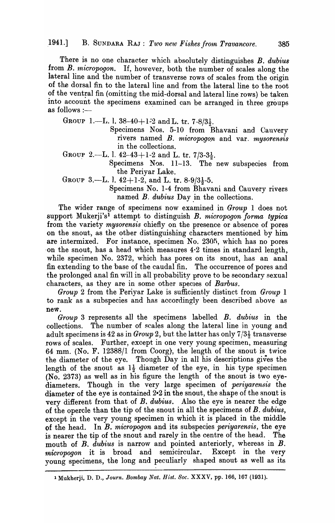There is no one character which absolutely distinguishes *B. dubius* from *B. micropogon*. If, however, both the number of scales along the lateral line and the number of transverse rows of scales from the origin of the dorsal fin to the lateral line and from the lateral line to the root of the ventral fin (omitting the mid-dorsal and lateral line rows) be taken into account the specimens examined can be arranged in three groups as follows :---

GROUP 1.-I. 1. 38-40+1-2 and L. tr. 7-8/3 $\frac{1}{2}$ .

Specimens Nos. 5-10 from Bhavani and Cauvery rivers named *B. micropogon* and var. *mysorensis* in the collections.

GROUP 2.-L. l.  $42-43+1-2$  and L. tr.  $7/3-3\frac{1}{2}$ .

Specimens Nos. 11-13. The new subspecies from the Periyar Lake.

GROUP 3.—L. l.  $42+1-2$ , and L. tr.  $8-9/3\frac{1}{2}-5$ .

Specimens No. 1-4 from Bhavani and Cauvery rivers named *B. dubius* Day in the collections.

The wider range of specimens now examined in *Group* 1 does not support Mukerji'sl attempt to distinguish *B. micropogon forma typica*  from the variety *mysorensis* chiefly on the presence or absence of pores on the snout, as the other distinguishing chara-cters mentioned by him are intermixed. For instance, specimen No. 2305, which has no pores ·on the snout, has a head which measures 4·2 times in standard length, while specimen No. 2372, which has pores on its snout, has an anal fin extending to the base of the caudal fin. The occurrence of pores and the prolonged anal fin will in all probability prove to be secondary sexual characters, as they are in some other species of *Barbus*.

*Group* 2 from the Periyar Lake is sufficiently distinct from *Group* 1 to rank as a subspecies and has accordingly been described above as new.

*Group* 3 represents all the specimens labelled *B. dubius* in the collections. The number of scales along the lateral line in young and adult specimens is 42 as in *Group* 2, but the latter has only  $7/3\frac{1}{2}$  transverse rows of scales. Further, except in one very young specimen, measuring 64 mm. (No. F. 12388/1 from Coorg}, the length of the snout is twice the diameter of the eye. Though Day in all his descriptions gives the length of the snout as  $1\frac{1}{2}$  diameter of the eye, in his type specimen  $(N<sub>0</sub>, 2373)$  as well as in his figure the length of the snout is two eyediameters. Though in the very large specimen of *periyarensis* the diameter of the eye is contained 2-2 in the snout, the shape of the snout is very different from that of *B. dubius.* Also the eye is nearer the edgeof the opercle than the tip of the snout in all the specimens of *B. dubius,*  except in the very young specimen in which it is placed in the middle of the head. In *B. micropogon* and its subspecies *periyarensis,* the eye is nearer the tip of the snout and rarely in the centre of the head. The mouth of *B. dubius* is narrow and pointed anteriorly, whereas in *B*. *micropogon* it is broad and semicircular. Except in the very young specimens, the long and peculiarly shaped snout as well as its

<sup>1</sup> Mukherji, D. D., *Journ. Bombay Nat. Hist. Soc.* XXXV, pp. 166, 167 (1931).